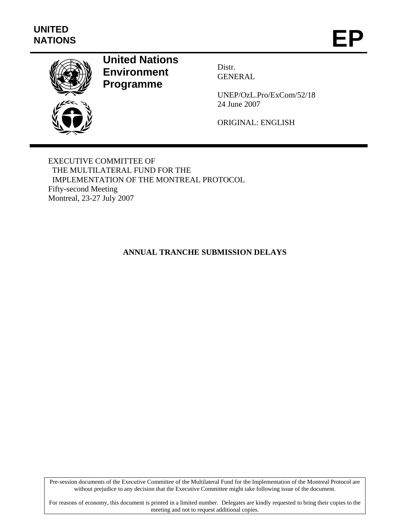

# **United Nations Environment Programme**

Distr. GENERAL

UNEP/OzL.Pro/ExCom/52/18 24 June 2007

ORIGINAL: ENGLISH

EXECUTIVE COMMITTEE OF THE MULTILATERAL FUND FOR THE IMPLEMENTATION OF THE MONTREAL PROTOCOL Fifty-second Meeting Montreal, 23-27 July 2007

**ANNUAL TRANCHE SUBMISSION DELAYS** 

Pre-session documents of the Executive Committee of the Multilateral Fund for the Implementation of the Montreal Protocol are without prejudice to any decision that the Executive Committee might take following issue of the document.

For reasons of economy, this document is printed in a limited number. Delegates are kindly requested to bring their copies to the meeting and not to request additional copies.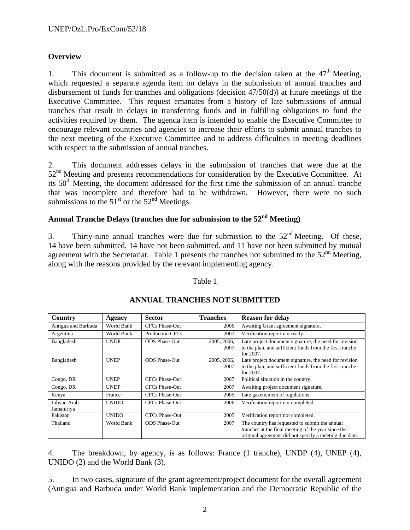## **Overview**

1. This document is submitted as a follow-up to the decision taken at the  $47<sup>th</sup>$  Meeting, which requested a separate agenda item on delays in the submission of annual tranches and disbursement of funds for tranches and obligations (decision  $47/50(d)$ ) at future meetings of the Executive Committee. This request emanates from a history of late submissions of annual tranches that result in delays in transferring funds and in fulfilling obligations to fund the activities required by them. The agenda item is intended to enable the Executive Committee to encourage relevant countries and agencies to increase their efforts to submit annual tranches to the next meeting of the Executive Committee and to address difficulties in meeting deadlines with respect to the submission of annual tranches.

2. This document addresses delays in the submission of tranches that were due at the 52<sup>nd</sup> Meeting and presents recommendations for consideration by the Executive Committee. At its  $50<sup>th</sup>$  Meeting, the document addressed for the first time the submission of an annual tranche that was incomplete and therefore had to be withdrawn. However, there were no such submissions to the  $51<sup>st</sup>$  or the  $52<sup>nd</sup>$  Meetings.

## **Annual Tranche Delays (tranches due for submission to the 52nd Meeting)**

3. Thirty-nine annual tranches were due for submission to the  $52<sup>nd</sup>$  Meeting. Of these, 14 have been submitted, 14 have not been submitted, and 11 have not been submitted by mutual agreement with the Secretariat. Table 1 presents the tranches not submitted to the  $52<sup>nd</sup>$  Meeting, along with the reasons provided by the relevant implementing agency.

#### Table 1

| Country                   | Agency       | <b>Sector</b>          | <b>Tranches</b>     | <b>Reason for delay</b>                                                                                                                                         |
|---------------------------|--------------|------------------------|---------------------|-----------------------------------------------------------------------------------------------------------------------------------------------------------------|
| Antigua and Barbuda       | World Bank   | <b>CFCs Phase-Out</b>  | 2006                | Awaiting Grant agreement signature.                                                                                                                             |
| Argentina                 | World Bank   | <b>Production CFCs</b> | 2007                | Verification report not ready.                                                                                                                                  |
| Bangladesh                | <b>UNDP</b>  | <b>ODS</b> Phase-Out   | 2005, 2006,<br>2007 | Late project document signature, the need for revision<br>to the plan, and sufficient funds from the first tranche<br>for 2007.                                 |
| Bangladesh                | <b>UNEP</b>  | <b>ODS</b> Phase-Out   | 2005, 2006,<br>2007 | Late project document signature, the need for revision<br>to the plan, and sufficient funds from the first tranche<br>for 2007.                                 |
| Congo, DR                 | <b>UNEP</b>  | CFCs Phase-Out         | 2007                | Political situation in the country.                                                                                                                             |
| Congo, DR                 | <b>UNDP</b>  | <b>CFCs Phase-Out</b>  | 2007                | Awaiting project document signature.                                                                                                                            |
| Kenya                     | France       | <b>CFCs Phase-Out</b>  | 2005                | Late gazettement of regulations.                                                                                                                                |
| Libyan Arab<br>Jamahiriya | <b>UNIDO</b> | <b>CFCs Phase-Out</b>  | 2006                | Verification report not completed.                                                                                                                              |
| Pakistan                  | <b>UNIDO</b> | <b>CTCs Phase-Out</b>  | 2005                | Verification report not completed.                                                                                                                              |
| Thailand                  | World Bank   | <b>ODS</b> Phase-Out   | 2007                | The country has requested to submit the annual<br>tranches at the final meeting of the year since the<br>original agreement did not specify a meeting due date. |

## **ANNUAL TRANCHES NOT SUBMITTED**

4. The breakdown, by agency, is as follows: France (1 tranche), UNDP (4), UNEP (4), UNIDO (2) and the World Bank (3).

5. In two cases, signature of the grant agreement/project document for the overall agreement (Antigua and Barbuda under World Bank implementation and the Democratic Republic of the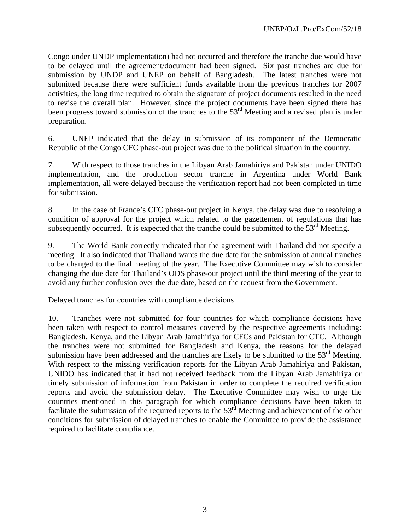Congo under UNDP implementation) had not occurred and therefore the tranche due would have to be delayed until the agreement/document had been signed. Six past tranches are due for submission by UNDP and UNEP on behalf of Bangladesh. The latest tranches were not submitted because there were sufficient funds available from the previous tranches for 2007 activities, the long time required to obtain the signature of project documents resulted in the need to revise the overall plan. However, since the project documents have been signed there has been progress toward submission of the tranches to the  $53<sup>rd</sup>$  Meeting and a revised plan is under preparation.

6. UNEP indicated that the delay in submission of its component of the Democratic Republic of the Congo CFC phase-out project was due to the political situation in the country.

7. With respect to those tranches in the Libyan Arab Jamahiriya and Pakistan under UNIDO implementation, and the production sector tranche in Argentina under World Bank implementation, all were delayed because the verification report had not been completed in time for submission.

8. In the case of France's CFC phase-out project in Kenya, the delay was due to resolving a condition of approval for the project which related to the gazettement of regulations that has subsequently occurred. It is expected that the tranche could be submitted to the  $53<sup>rd</sup>$  Meeting.

9. The World Bank correctly indicated that the agreement with Thailand did not specify a meeting. It also indicated that Thailand wants the due date for the submission of annual tranches to be changed to the final meeting of the year. The Executive Committee may wish to consider changing the due date for Thailand's ODS phase-out project until the third meeting of the year to avoid any further confusion over the due date, based on the request from the Government.

#### Delayed tranches for countries with compliance decisions

10. Tranches were not submitted for four countries for which compliance decisions have been taken with respect to control measures covered by the respective agreements including: Bangladesh, Kenya, and the Libyan Arab Jamahiriya for CFCs and Pakistan for CTC. Although the tranches were not submitted for Bangladesh and Kenya, the reasons for the delayed submission have been addressed and the tranches are likely to be submitted to the  $53<sup>rd</sup>$  Meeting. With respect to the missing verification reports for the Libyan Arab Jamahiriya and Pakistan, UNIDO has indicated that it had not received feedback from the Libyan Arab Jamahiriya or timely submission of information from Pakistan in order to complete the required verification reports and avoid the submission delay. The Executive Committee may wish to urge the countries mentioned in this paragraph for which compliance decisions have been taken to facilitate the submission of the required reports to the  $53<sup>rd</sup>$  Meeting and achievement of the other conditions for submission of delayed tranches to enable the Committee to provide the assistance required to facilitate compliance.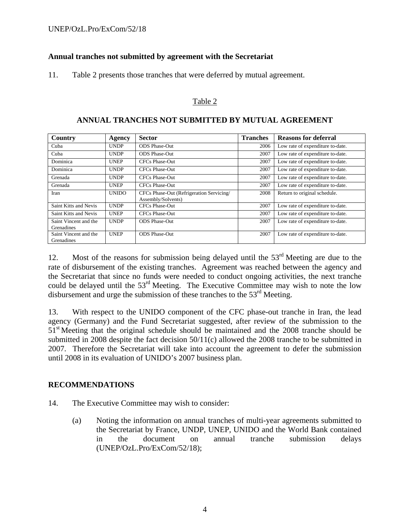### **Annual tranches not submitted by agreement with the Secretariat**

11. Table 2 presents those tranches that were deferred by mutual agreement.

#### Table 2

| Country                                    | Agency       | <b>Sector</b>                                                  | <b>Tranches</b> | <b>Reasons for deferral</b>      |
|--------------------------------------------|--------------|----------------------------------------------------------------|-----------------|----------------------------------|
| Cuba                                       | <b>UNDP</b>  | <b>ODS</b> Phase-Out                                           | 2006            | Low rate of expenditure to-date. |
| Cuba                                       | <b>UNDP</b>  | <b>ODS Phase-Out</b>                                           | 2007            | Low rate of expenditure to-date. |
| Dominica                                   | <b>UNEP</b>  | CFCs Phase-Out                                                 | 2007            | Low rate of expenditure to-date. |
| Dominica                                   | <b>UNDP</b>  | CFCs Phase-Out                                                 | 2007            | Low rate of expenditure to-date. |
| Grenada                                    | <b>UNDP</b>  | CFCs Phase-Out                                                 | 2007            | Low rate of expenditure to-date. |
| Grenada                                    | <b>UNEP</b>  | CFCs Phase-Out                                                 | 2007            | Low rate of expenditure to-date. |
| Iran                                       | <b>UNIDO</b> | CFCs Phase-Out (Refrigeration Servicing/<br>Assembly/Solvents) | 2008            | Return to original schedule.     |
| Saint Kitts and Nevis                      | <b>UNDP</b>  | CFCs Phase-Out                                                 | 2007            | Low rate of expenditure to-date. |
| Saint Kitts and Nevis                      | <b>UNEP</b>  | CFCs Phase-Out                                                 | 2007            | Low rate of expenditure to-date. |
| Saint Vincent and the<br><b>Grenadines</b> | <b>UNDP</b>  | <b>ODS</b> Phase-Out                                           | 2007            | Low rate of expenditure to-date. |
| Saint Vincent and the<br><b>Grenadines</b> | <b>UNEP</b>  | <b>ODS</b> Phase-Out                                           | 2007            | Low rate of expenditure to-date. |

#### **ANNUAL TRANCHES NOT SUBMITTED BY MUTUAL AGREEMENT**

12. Most of the reasons for submission being delayed until the  $53<sup>rd</sup>$  Meeting are due to the rate of disbursement of the existing tranches. Agreement was reached between the agency and the Secretariat that since no funds were needed to conduct ongoing activities, the next tranche could be delayed until the 53<sup>rd</sup> Meeting. The Executive Committee may wish to note the low disbursement and urge the submission of these tranches to the  $53<sup>rd</sup>$  Meeting.

13. With respect to the UNIDO component of the CFC phase-out tranche in Iran, the lead agency (Germany) and the Fund Secretariat suggested, after review of the submission to the 51<sup>st</sup> Meeting that the original schedule should be maintained and the 2008 tranche should be submitted in 2008 despite the fact decision 50/11(c) allowed the 2008 tranche to be submitted in 2007. Therefore the Secretariat will take into account the agreement to defer the submission until 2008 in its evaluation of UNIDO's 2007 business plan.

#### **RECOMMENDATIONS**

- 14. The Executive Committee may wish to consider:
	- (a) Noting the information on annual tranches of multi-year agreements submitted to the Secretariat by France, UNDP, UNEP, UNIDO and the World Bank contained in the document on annual tranche submission delays (UNEP/OzL.Pro/ExCom/52/18);